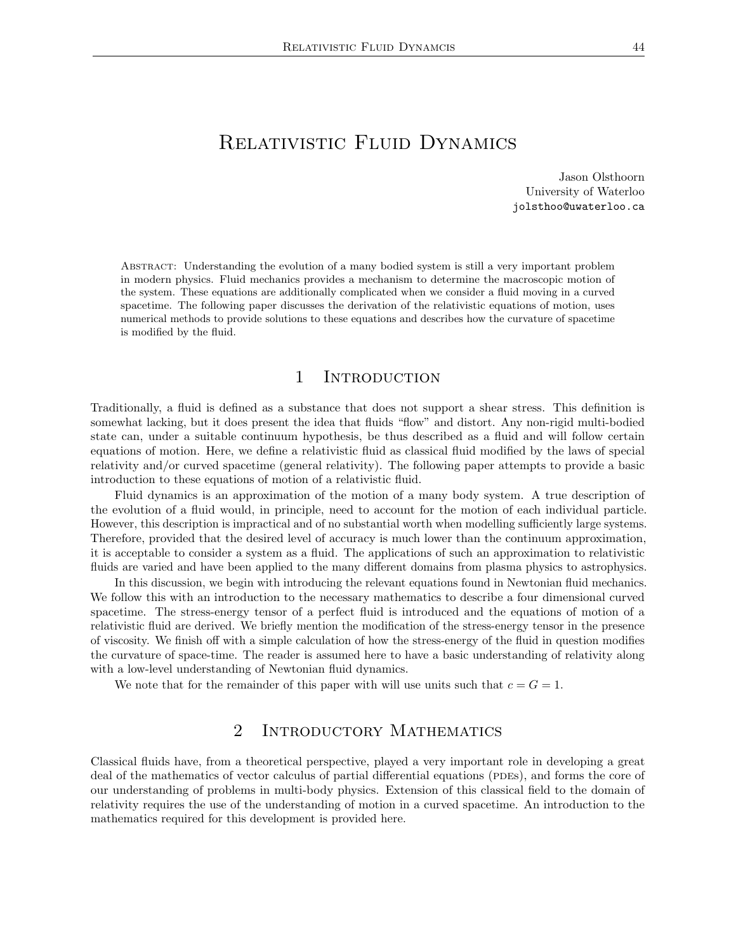# Relativistic Fluid Dynamics

Jason Olsthoorn University of Waterloo jolsthoo@uwaterloo.ca

Abstract: Understanding the evolution of a many bodied system is still a very important problem in modern physics. Fluid mechanics provides a mechanism to determine the macroscopic motion of the system. These equations are additionally complicated when we consider a fluid moving in a curved spacetime. The following paper discusses the derivation of the relativistic equations of motion, uses numerical methods to provide solutions to these equations and describes how the curvature of spacetime is modified by the fluid.

# 1 Introduction

Traditionally, a fluid is defined as a substance that does not support a shear stress. This definition is somewhat lacking, but it does present the idea that fluids "flow" and distort. Any non-rigid multi-bodied state can, under a suitable continuum hypothesis, be thus described as a fluid and will follow certain equations of motion. Here, we define a relativistic fluid as classical fluid modified by the laws of special relativity and/or curved spacetime (general relativity). The following paper attempts to provide a basic introduction to these equations of motion of a relativistic fluid.

Fluid dynamics is an approximation of the motion of a many body system. A true description of the evolution of a fluid would, in principle, need to account for the motion of each individual particle. However, this description is impractical and of no substantial worth when modelling sufficiently large systems. Therefore, provided that the desired level of accuracy is much lower than the continuum approximation, it is acceptable to consider a system as a fluid. The applications of such an approximation to relativistic fluids are varied and have been applied to the many different domains from plasma physics to astrophysics.

In this discussion, we begin with introducing the relevant equations found in Newtonian fluid mechanics. We follow this with an introduction to the necessary mathematics to describe a four dimensional curved spacetime. The stress-energy tensor of a perfect fluid is introduced and the equations of motion of a relativistic fluid are derived. We briefly mention the modification of the stress-energy tensor in the presence of viscosity. We finish off with a simple calculation of how the stress-energy of the fluid in question modifies the curvature of space-time. The reader is assumed here to have a basic understanding of relativity along with a low-level understanding of Newtonian fluid dynamics.

We note that for the remainder of this paper with will use units such that  $c = G = 1$ .

# 2 Introductory Mathematics

Classical fluids have, from a theoretical perspective, played a very important role in developing a great deal of the mathematics of vector calculus of partial differential equations (PDEs), and forms the core of our understanding of problems in multi-body physics. Extension of this classical field to the domain of relativity requires the use of the understanding of motion in a curved spacetime. An introduction to the mathematics required for this development is provided here.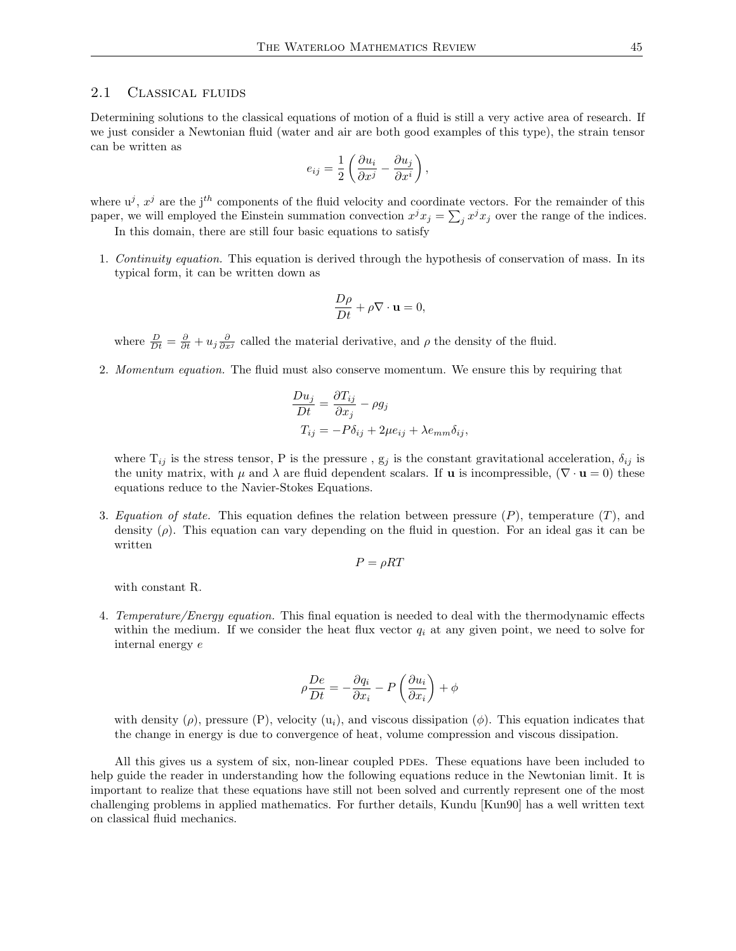#### 2.1 CLASSICAL FLUIDS

Determining solutions to the classical equations of motion of a fluid is still a very active area of research. If we just consider a Newtonian fluid (water and air are both good examples of this type), the strain tensor can be written as

$$
e_{ij} = \frac{1}{2} \left( \frac{\partial u_i}{\partial x^j} - \frac{\partial u_j}{\partial x^i} \right),\,
$$

where  $u^j$ ,  $x^j$  are the j<sup>th</sup> components of the fluid velocity and coordinate vectors. For the remainder of this paper, we will employed the Einstein summation convection  $x^j x_j = \sum_j x^j x_j$  over the range of the indices.

In this domain, there are still four basic equations to satisfy

1. Continuity equation. This equation is derived through the hypothesis of conservation of mass. In its typical form, it can be written down as

$$
\frac{D\rho}{Dt} + \rho \nabla \cdot \mathbf{u} = 0,
$$

where  $\frac{D}{Dt} = \frac{\partial}{\partial t} + u_j \frac{\partial}{\partial x^j}$  called the material derivative, and  $\rho$  the density of the fluid.

2. Momentum equation. The fluid must also conserve momentum. We ensure this by requiring that

$$
\frac{Du_j}{Dt} = \frac{\partial T_{ij}}{\partial x_j} - \rho g_j
$$
  
\n
$$
T_{ij} = -P\delta_{ij} + 2\mu e_{ij} + \lambda e_{mm}\delta_{ij},
$$

where  $T_{ij}$  is the stress tensor, P is the pressure,  $g_j$  is the constant gravitational acceleration,  $\delta_{ij}$  is the unity matrix, with  $\mu$  and  $\lambda$  are fluid dependent scalars. If **u** is incompressible, ( $\nabla \cdot$ **u** = 0) these equations reduce to the Navier-Stokes Equations.

3. Equation of state. This equation defines the relation between pressure  $(P)$ , temperature  $(T)$ , and density  $(\rho)$ . This equation can vary depending on the fluid in question. For an ideal gas it can be written

$$
P = \rho RT
$$

with constant R.

4. Temperature/Energy equation. This final equation is needed to deal with the thermodynamic effects within the medium. If we consider the heat flux vector  $q_i$  at any given point, we need to solve for internal energy e

$$
\rho \frac{De}{Dt} = -\frac{\partial q_i}{\partial x_i} - P\left(\frac{\partial u_i}{\partial x_i}\right) + \phi
$$

with density  $(\rho)$ , pressure (P), velocity  $(u_i)$ , and viscous dissipation  $(\phi)$ . This equation indicates that the change in energy is due to convergence of heat, volume compression and viscous dissipation.

All this gives us a system of six, non-linear coupled PDEs. These equations have been included to help guide the reader in understanding how the following equations reduce in the Newtonian limit. It is important to realize that these equations have still not been solved and currently represent one of the most challenging problems in applied mathematics. For further details, Kundu [Kun90] has a well written text on classical fluid mechanics.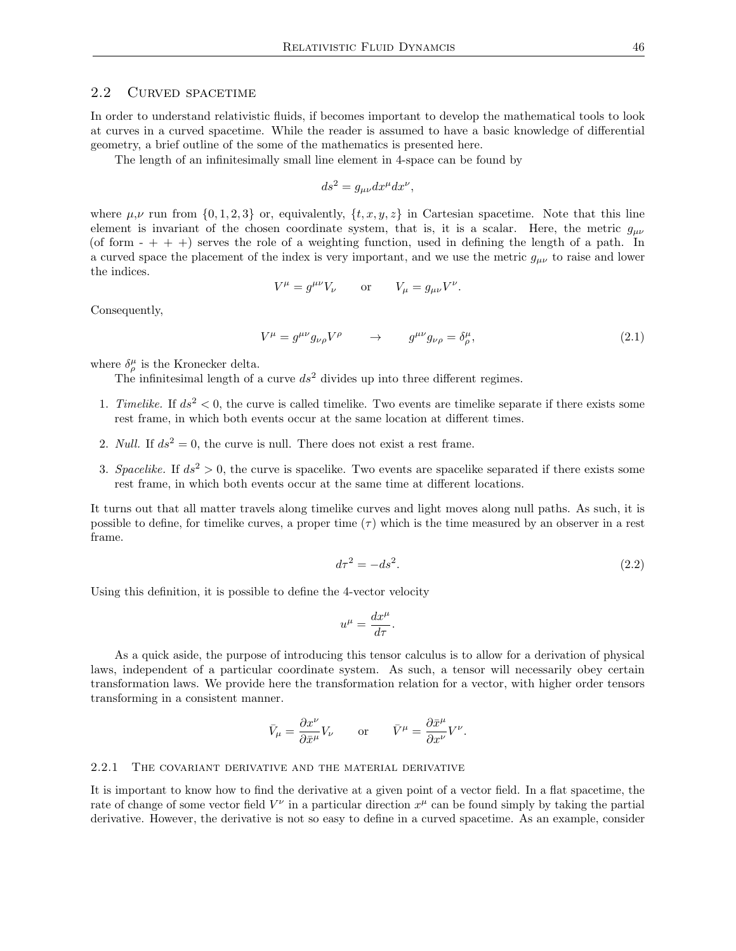### 2.2 CURVED SPACETIME

In order to understand relativistic fluids, if becomes important to develop the mathematical tools to look at curves in a curved spacetime. While the reader is assumed to have a basic knowledge of differential geometry, a brief outline of the some of the mathematics is presented here.

The length of an infinitesimally small line element in 4-space can be found by

$$
ds^2 = g_{\mu\nu} dx^{\mu} dx^{\nu},
$$

where  $\mu, \nu$  run from  $\{0, 1, 2, 3\}$  or, equivalently,  $\{t, x, y, z\}$  in Cartesian spacetime. Note that this line element is invariant of the chosen coordinate system, that is, it is a scalar. Here, the metric  $g_{\mu\nu}$ (of form  $- + + +$ ) serves the role of a weighting function, used in defining the length of a path. In a curved space the placement of the index is very important, and we use the metric  $g_{\mu\nu}$  to raise and lower the indices.

$$
V^{\mu} = g^{\mu\nu} V_{\nu} \qquad \text{or} \qquad V_{\mu} = g_{\mu\nu} V^{\nu}.
$$

Consequently,

$$
V^{\mu} = g^{\mu\nu} g_{\nu\rho} V^{\rho} \qquad \rightarrow \qquad g^{\mu\nu} g_{\nu\rho} = \delta^{\mu}_{\rho}, \tag{2.1}
$$

where  $\delta^{\mu}_{\rho}$  is the Kronecker delta.

The infinitesimal length of a curve  $ds^2$  divides up into three different regimes.

- 1. Timelike. If  $ds^2 < 0$ , the curve is called timelike. Two events are timelike separate if there exists some rest frame, in which both events occur at the same location at different times.
- 2. Null. If  $ds^2 = 0$ , the curve is null. There does not exist a rest frame.
- 3. Spacelike. If  $ds^2 > 0$ , the curve is spacelike. Two events are spacelike separated if there exists some rest frame, in which both events occur at the same time at different locations.

It turns out that all matter travels along timelike curves and light moves along null paths. As such, it is possible to define, for timelike curves, a proper time  $(\tau)$  which is the time measured by an observer in a rest frame.

$$
d\tau^2 = -ds^2.\tag{2.2}
$$

Using this definition, it is possible to define the 4-vector velocity

$$
u^{\mu} = \frac{dx^{\mu}}{d\tau}.
$$

As a quick aside, the purpose of introducing this tensor calculus is to allow for a derivation of physical laws, independent of a particular coordinate system. As such, a tensor will necessarily obey certain transformation laws. We provide here the transformation relation for a vector, with higher order tensors transforming in a consistent manner.

$$
\bar{V}_{\mu} = \frac{\partial x^{\nu}}{\partial \bar{x}^{\mu}} V_{\nu} \quad \text{or} \quad \bar{V}^{\mu} = \frac{\partial \bar{x}^{\mu}}{\partial x^{\nu}} V^{\nu}.
$$

#### 2.2.1 The covariant derivative and the material derivative

It is important to know how to find the derivative at a given point of a vector field. In a flat spacetime, the rate of change of some vector field  $V^{\nu}$  in a particular direction  $x^{\mu}$  can be found simply by taking the partial derivative. However, the derivative is not so easy to define in a curved spacetime. As an example, consider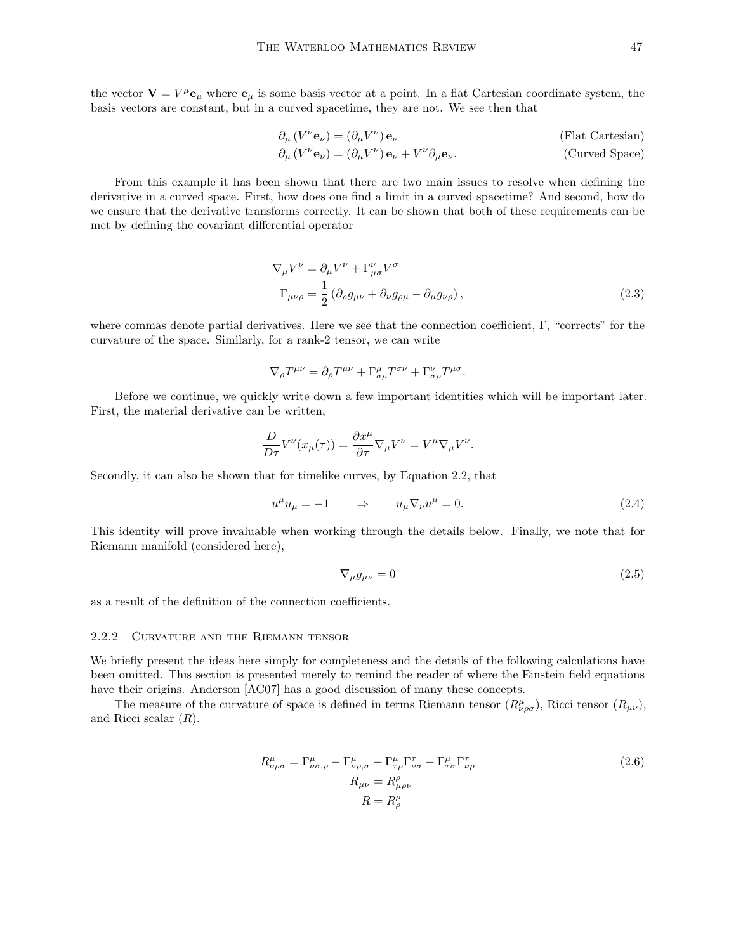the vector  $\mathbf{V} = V^{\mu} \mathbf{e}_{\mu}$  where  $\mathbf{e}_{\mu}$  is some basis vector at a point. In a flat Cartesian coordinate system, the basis vectors are constant, but in a curved spacetime, they are not. We see then that

$$
\partial_{\mu} (V^{\nu} \mathbf{e}_{\nu}) = (\partial_{\mu} V^{\nu}) \mathbf{e}_{\nu}
$$
 (Flat Cartesian)

$$
\partial_{\mu} (V^{\nu} \mathbf{e}_{\nu}) = (\partial_{\mu} V^{\nu}) \mathbf{e}_{\nu} + V^{\nu} \partial_{\mu} \mathbf{e}_{\nu}.
$$
 (Curved Space)

From this example it has been shown that there are two main issues to resolve when defining the derivative in a curved space. First, how does one find a limit in a curved spacetime? And second, how do we ensure that the derivative transforms correctly. It can be shown that both of these requirements can be met by defining the covariant differential operator

$$
\nabla_{\mu}V^{\nu} = \partial_{\mu}V^{\nu} + \Gamma^{\nu}_{\mu\sigma}V^{\sigma}
$$
  

$$
\Gamma_{\mu\nu\rho} = \frac{1}{2} (\partial_{\rho}g_{\mu\nu} + \partial_{\nu}g_{\rho\mu} - \partial_{\mu}g_{\nu\rho}),
$$
\n(2.3)

where commas denote partial derivatives. Here we see that the connection coefficient, Γ, "corrects" for the curvature of the space. Similarly, for a rank-2 tensor, we can write

$$
\nabla_{\rho}T^{\mu\nu}=\partial_{\rho}T^{\mu\nu}+\Gamma^{\mu}_{\sigma\rho}T^{\sigma\nu}+\Gamma^{\nu}_{\sigma\rho}T^{\mu\sigma}.
$$

Before we continue, we quickly write down a few important identities which will be important later. First, the material derivative can be written,

$$
\frac{D}{D\tau}V^{\nu}(x_{\mu}(\tau)) = \frac{\partial x^{\mu}}{\partial \tau}\nabla_{\mu}V^{\nu} = V^{\mu}\nabla_{\mu}V^{\nu}.
$$

Secondly, it can also be shown that for timelike curves, by Equation 2.2, that

$$
u^{\mu}u_{\mu} = -1 \qquad \Rightarrow \qquad u_{\mu}\nabla_{\nu}u^{\mu} = 0. \tag{2.4}
$$

This identity will prove invaluable when working through the details below. Finally, we note that for Riemann manifold (considered here),

$$
\nabla_{\mu}g_{\mu\nu} = 0 \tag{2.5}
$$

as a result of the definition of the connection coefficients.

#### 2.2.2 Curvature and the Riemann tensor

We briefly present the ideas here simply for completeness and the details of the following calculations have been omitted. This section is presented merely to remind the reader of where the Einstein field equations have their origins. Anderson  $[AC07]$  has a good discussion of many these concepts.

The measure of the curvature of space is defined in terms Riemann tensor  $(R^{\mu}_{\nu\rho\sigma})$ , Ricci tensor  $(R_{\mu\nu})$ , and Ricci scalar  $(R)$ .

$$
R^{\mu}_{\nu\rho\sigma} = \Gamma^{\mu}_{\nu\sigma,\rho} - \Gamma^{\mu}_{\nu\rho,\sigma} + \Gamma^{\mu}_{\tau\rho} \Gamma^{\tau}_{\nu\sigma} - \Gamma^{\mu}_{\tau\sigma} \Gamma^{\tau}_{\nu\rho}
$$
  
\n
$$
R_{\mu\nu} = R^{\rho}_{\mu\rho\nu}
$$
  
\n
$$
R = R^{\rho}_{\rho}
$$
 (2.6)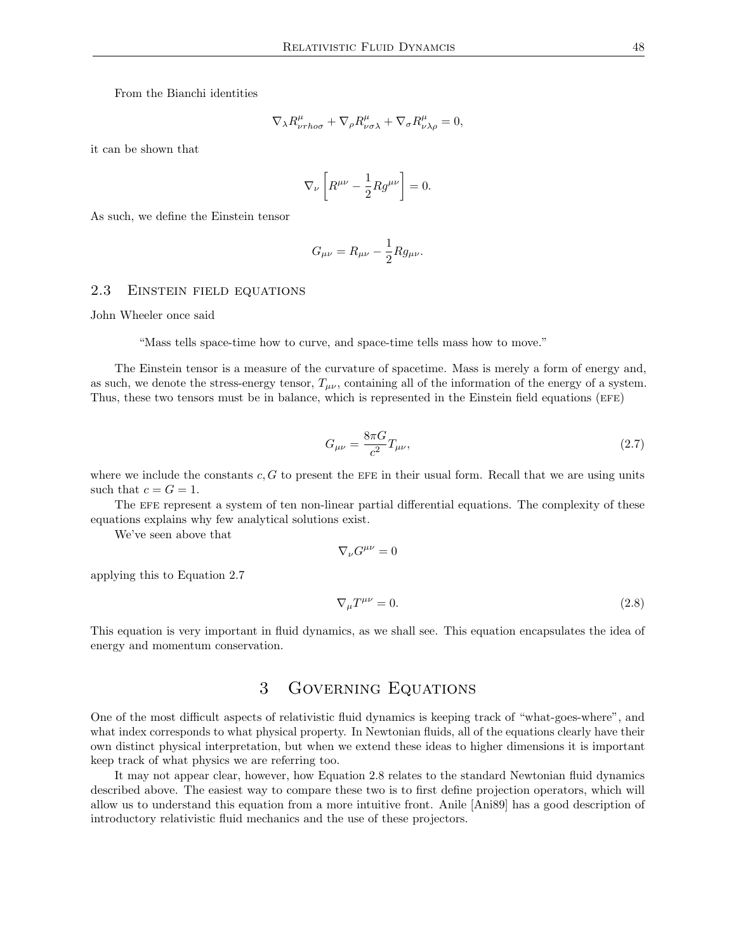From the Bianchi identities

$$
\nabla_{\lambda}R^{\mu}_{\nu rho\sigma} + \nabla_{\rho}R^{\mu}_{\nu\sigma\lambda} + \nabla_{\sigma}R^{\mu}_{\nu\lambda\rho} = 0,
$$

it can be shown that

$$
\nabla_{\nu}\left[R^{\mu\nu}-\frac{1}{2}Rg^{\mu\nu}\right]=0.
$$

As such, we define the Einstein tensor

$$
G_{\mu\nu} = R_{\mu\nu} - \frac{1}{2} R g_{\mu\nu}.
$$

### 2.3 Einstein field equations

John Wheeler once said

"Mass tells space-time how to curve, and space-time tells mass how to move."

The Einstein tensor is a measure of the curvature of spacetime. Mass is merely a form of energy and, as such, we denote the stress-energy tensor,  $T_{\mu\nu}$ , containing all of the information of the energy of a system. Thus, these two tensors must be in balance, which is represented in the Einstein field equations (efe)

$$
G_{\mu\nu} = \frac{8\pi G}{c^2} T_{\mu\nu},\tag{2.7}
$$

where we include the constants  $c, G$  to present the EFE in their usual form. Recall that we are using units such that  $c = G = 1$ .

The EFE represent a system of ten non-linear partial differential equations. The complexity of these equations explains why few analytical solutions exist.

We've seen above that

$$
\nabla_{\nu}G^{\mu\nu}=0
$$

applying this to Equation 2.7

$$
\nabla_{\mu}T^{\mu\nu} = 0. \tag{2.8}
$$

This equation is very important in fluid dynamics, as we shall see. This equation encapsulates the idea of energy and momentum conservation.

# 3 Governing Equations

One of the most difficult aspects of relativistic fluid dynamics is keeping track of "what-goes-where", and what index corresponds to what physical property. In Newtonian fluids, all of the equations clearly have their own distinct physical interpretation, but when we extend these ideas to higher dimensions it is important keep track of what physics we are referring too.

It may not appear clear, however, how Equation 2.8 relates to the standard Newtonian fluid dynamics described above. The easiest way to compare these two is to first define projection operators, which will allow us to understand this equation from a more intuitive front. Anile [Ani89] has a good description of introductory relativistic fluid mechanics and the use of these projectors.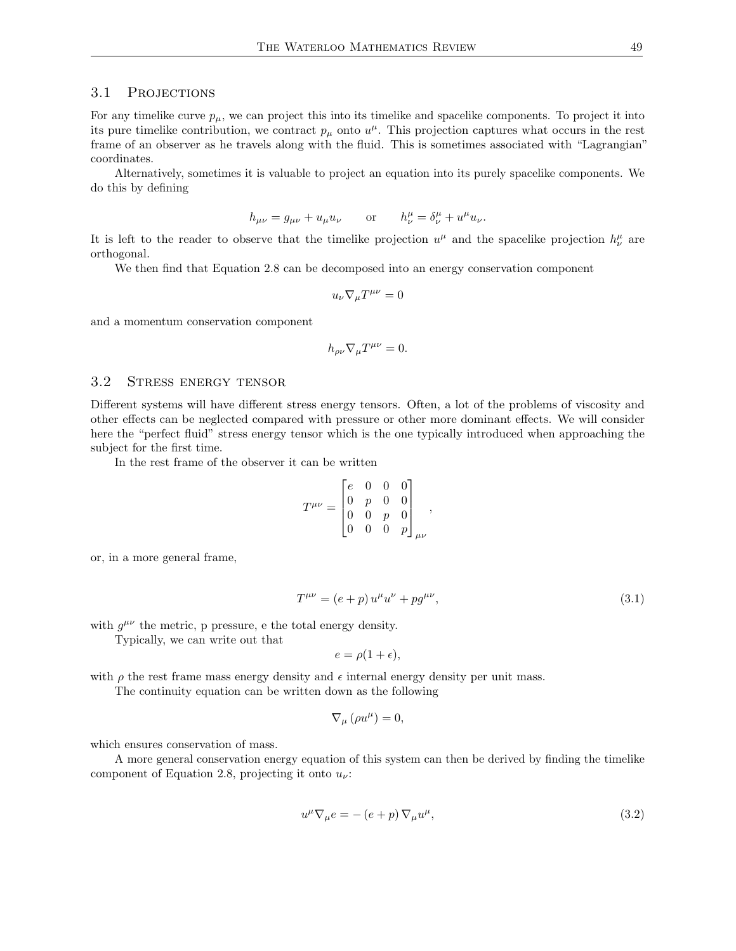## 3.1 PROJECTIONS

For any timelike curve  $p_{\mu}$ , we can project this into its timelike and spacelike components. To project it into its pure timelike contribution, we contract  $p_{\mu}$  onto  $u^{\mu}$ . This projection captures what occurs in the rest frame of an observer as he travels along with the fluid. This is sometimes associated with "Lagrangian" coordinates.

Alternatively, sometimes it is valuable to project an equation into its purely spacelike components. We do this by defining

$$
h_{\mu\nu} = g_{\mu\nu} + u_{\mu}u_{\nu} \qquad \text{or} \qquad h^{\mu}_{\nu} = \delta^{\mu}_{\nu} + u^{\mu}u_{\nu}.
$$

It is left to the reader to observe that the timelike projection  $u^{\mu}$  and the spacelike projection  $h^{\mu}_{\nu}$  are orthogonal.

We then find that Equation 2.8 can be decomposed into an energy conservation component

$$
u_\nu\nabla_\mu T^{\mu\nu}=0
$$

and a momentum conservation component

$$
h_{\rho\nu}\nabla_{\mu}T^{\mu\nu}=0.
$$

#### 3.2 Stress energy tensor

Different systems will have different stress energy tensors. Often, a lot of the problems of viscosity and other effects can be neglected compared with pressure or other more dominant effects. We will consider here the "perfect fluid" stress energy tensor which is the one typically introduced when approaching the subject for the first time.

In the rest frame of the observer it can be written

$$
T^{\mu\nu} = \begin{bmatrix} e & 0 & 0 & 0 \\ 0 & p & 0 & 0 \\ 0 & 0 & p & 0 \\ 0 & 0 & 0 & p \end{bmatrix}_{\mu\nu}
$$

or, in a more general frame,

$$
T^{\mu\nu} = (e+p)u^{\mu}u^{\nu} + pg^{\mu\nu}, \tag{3.1}
$$

,

with  $g^{\mu\nu}$  the metric, p pressure, e the total energy density.

Typically, we can write out that

$$
e = \rho(1 + \epsilon),
$$

with  $\rho$  the rest frame mass energy density and  $\epsilon$  internal energy density per unit mass.

The continuity equation can be written down as the following

$$
\nabla_{\mu} \left( \rho u^{\mu} \right) = 0,
$$

which ensures conservation of mass.

A more general conservation energy equation of this system can then be derived by finding the timelike component of Equation 2.8, projecting it onto  $u_{\nu}$ :

$$
u^{\mu}\nabla_{\mu}e = -(e+p)\nabla_{\mu}u^{\mu},\tag{3.2}
$$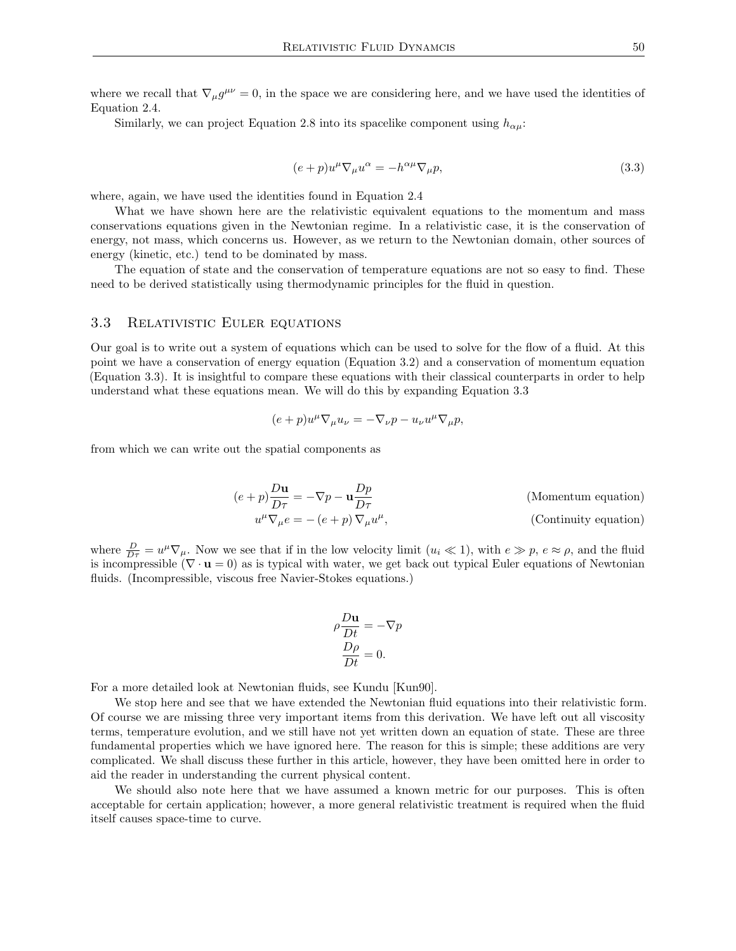where we recall that  $\nabla_{\mu}g^{\mu\nu}=0$ , in the space we are considering here, and we have used the identities of Equation 2.4.

Similarly, we can project Equation 2.8 into its spacelike component using  $h_{\alpha\mu}$ :

$$
(e+p)u^{\mu}\nabla_{\mu}u^{\alpha} = -h^{\alpha\mu}\nabla_{\mu}p,
$$
\n(3.3)

where, again, we have used the identities found in Equation 2.4

What we have shown here are the relativistic equivalent equations to the momentum and mass conservations equations given in the Newtonian regime. In a relativistic case, it is the conservation of energy, not mass, which concerns us. However, as we return to the Newtonian domain, other sources of energy (kinetic, etc.) tend to be dominated by mass.

The equation of state and the conservation of temperature equations are not so easy to find. These need to be derived statistically using thermodynamic principles for the fluid in question.

#### 3.3 Relativistic Euler equations

Our goal is to write out a system of equations which can be used to solve for the flow of a fluid. At this point we have a conservation of energy equation (Equation 3.2) and a conservation of momentum equation (Equation 3.3). It is insightful to compare these equations with their classical counterparts in order to help understand what these equations mean. We will do this by expanding Equation 3.3

$$
(e+p)u^{\mu}\nabla_{\mu}u_{\nu}=-\nabla_{\nu}p-u_{\nu}u^{\mu}\nabla_{\mu}p,
$$

from which we can write out the spatial components as

$$
(e+p)\frac{D\mathbf{u}}{D\tau} = -\nabla p - \mathbf{u}\frac{Dp}{D\tau}
$$
 (Momentum equation)  

$$
u^{\mu}\nabla_{\mu}e = -(e+p)\nabla_{\mu}u^{\mu},
$$
 (Continuity equation)

where  $\frac{D}{D\tau} = u^{\mu} \nabla_{\mu}$ . Now we see that if in the low velocity limit  $(u_i \ll 1)$ , with  $e \gg p$ ,  $e \approx \rho$ , and the fluid is incompressible ( $\nabla \cdot \mathbf{u} = 0$ ) as is typical with water, we get back out typical Euler equations of Newtonian fluids. (Incompressible, viscous free Navier-Stokes equations.)

$$
\rho \frac{D\mathbf{u}}{Dt} = -\nabla p
$$

$$
\frac{D\rho}{Dt} = 0.
$$

For a more detailed look at Newtonian fluids, see Kundu [Kun90].

We stop here and see that we have extended the Newtonian fluid equations into their relativistic form. Of course we are missing three very important items from this derivation. We have left out all viscosity terms, temperature evolution, and we still have not yet written down an equation of state. These are three fundamental properties which we have ignored here. The reason for this is simple; these additions are very complicated. We shall discuss these further in this article, however, they have been omitted here in order to aid the reader in understanding the current physical content.

We should also note here that we have assumed a known metric for our purposes. This is often acceptable for certain application; however, a more general relativistic treatment is required when the fluid itself causes space-time to curve.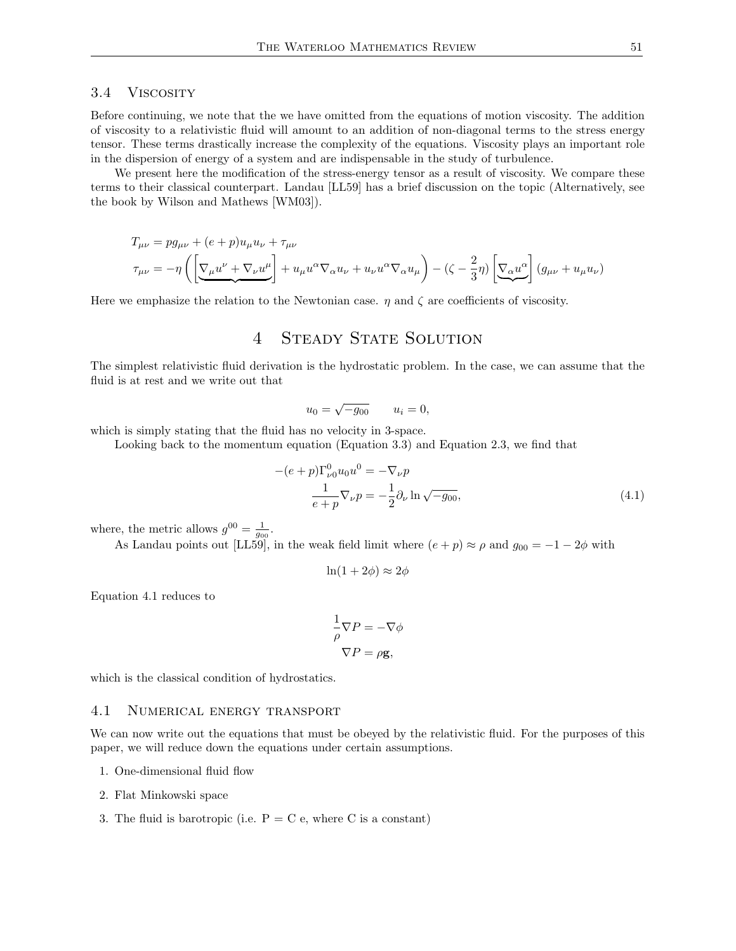### 3.4 VISCOSITY

Before continuing, we note that the we have omitted from the equations of motion viscosity. The addition of viscosity to a relativistic fluid will amount to an addition of non-diagonal terms to the stress energy tensor. These terms drastically increase the complexity of the equations. Viscosity plays an important role in the dispersion of energy of a system and are indispensable in the study of turbulence.

We present here the modification of the stress-energy tensor as a result of viscosity. We compare these terms to their classical counterpart. Landau [LL59] has a brief discussion on the topic (Alternatively, see the book by Wilson and Mathews [WM03]).

$$
T_{\mu\nu} = pg_{\mu\nu} + (e+p)u_{\mu}u_{\nu} + \tau_{\mu\nu}
$$
  

$$
\tau_{\mu\nu} = -\eta \left( \left[ \nabla_{\mu} u^{\nu} + \nabla_{\nu} u^{\mu} \right] + u_{\mu} u^{\alpha} \nabla_{\alpha} u_{\nu} + u_{\nu} u^{\alpha} \nabla_{\alpha} u_{\mu} \right) - (\zeta - \frac{2}{3} \eta) \left[ \nabla_{\alpha} u^{\alpha} \right] (g_{\mu\nu} + u_{\mu} u_{\nu})
$$

Here we emphasize the relation to the Newtonian case.  $\eta$  and  $\zeta$  are coefficients of viscosity.

# 4 STEADY STATE SOLUTION

The simplest relativistic fluid derivation is the hydrostatic problem. In the case, we can assume that the fluid is at rest and we write out that

$$
u_0 = \sqrt{-g_{00}} \qquad u_i = 0,
$$

which is simply stating that the fluid has no velocity in 3-space.

Looking back to the momentum equation (Equation 3.3) and Equation 2.3, we find that

$$
-(e+p)\Gamma^0_{\nu 0}u_0u^0 = -\nabla_\nu p
$$
  

$$
\frac{1}{e+p}\nabla_\nu p = -\frac{1}{2}\partial_\nu \ln \sqrt{-g_{00}},
$$
 (4.1)

where, the metric allows  $g^{00} = \frac{1}{g_{00}}$ .

As Landau points out [LL59], in the weak field limit where  $(e + p) \approx \rho$  and  $g_{00} = -1 - 2\phi$  with

$$
\ln(1+2\phi) \approx 2\phi
$$

Equation 4.1 reduces to

$$
\frac{1}{\rho} \nabla P = -\nabla \phi
$$

$$
\nabla P = \rho \mathbf{g},
$$

which is the classical condition of hydrostatics.

#### 4.1 Numerical energy transport

We can now write out the equations that must be obeyed by the relativistic fluid. For the purposes of this paper, we will reduce down the equations under certain assumptions.

- 1. One-dimensional fluid flow
- 2. Flat Minkowski space
- 3. The fluid is barotropic (i.e.  $P = C e$ , where C is a constant)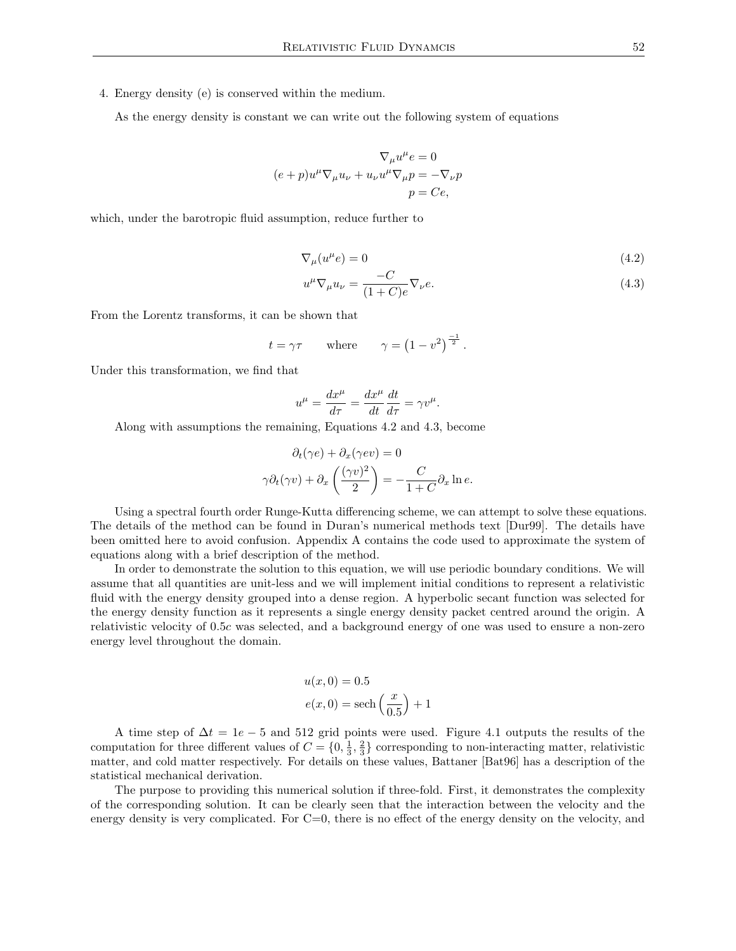4. Energy density (e) is conserved within the medium.

As the energy density is constant we can write out the following system of equations

$$
\nabla_{\mu}u^{\mu}e = 0
$$

$$
(e+p)u^{\mu}\nabla_{\mu}u_{\nu} + u_{\nu}u^{\mu}\nabla_{\mu}p = -\nabla_{\nu}p
$$

$$
p = Ce,
$$

which, under the barotropic fluid assumption, reduce further to

$$
\nabla_{\mu}(u^{\mu}e) = 0 \tag{4.2}
$$

$$
u^{\mu}\nabla_{\mu}u_{\nu} = \frac{-C}{(1+C)e}\nabla_{\nu}e.
$$
\n(4.3)

From the Lorentz transforms, it can be shown that

$$
t = \gamma \tau
$$
 where  $\gamma = (1 - v^2)^{\frac{-1}{2}}$ .

Under this transformation, we find that

$$
u^{\mu} = \frac{dx^{\mu}}{d\tau} = \frac{dx^{\mu}}{dt} \frac{dt}{d\tau} = \gamma v^{\mu}.
$$

Along with assumptions the remaining, Equations 4.2 and 4.3, become

$$
\partial_t(\gamma e) + \partial_x(\gamma e v) = 0
$$

$$
\gamma \partial_t(\gamma v) + \partial_x \left(\frac{(\gamma v)^2}{2}\right) = -\frac{C}{1+C} \partial_x \ln e.
$$

Using a spectral fourth order Runge-Kutta differencing scheme, we can attempt to solve these equations. The details of the method can be found in Duran's numerical methods text [Dur99]. The details have been omitted here to avoid confusion. Appendix A contains the code used to approximate the system of equations along with a brief description of the method.

In order to demonstrate the solution to this equation, we will use periodic boundary conditions. We will assume that all quantities are unit-less and we will implement initial conditions to represent a relativistic fluid with the energy density grouped into a dense region. A hyperbolic secant function was selected for the energy density function as it represents a single energy density packet centred around the origin. A relativistic velocity of 0.5c was selected, and a background energy of one was used to ensure a non-zero energy level throughout the domain.

$$
u(x, 0) = 0.5
$$

$$
e(x, 0) = \text{sech}\left(\frac{x}{0.5}\right) + 1
$$

A time step of  $\Delta t = 1e - 5$  and 512 grid points were used. Figure 4.1 outputs the results of the computation for three different values of  $C = \{0, \frac{1}{3}, \frac{2}{3}\}$  corresponding to non-interacting matter, relativistic matter, and cold matter respectively. For details on these values, Battaner [Bat96] has a description of the statistical mechanical derivation.

The purpose to providing this numerical solution if three-fold. First, it demonstrates the complexity of the corresponding solution. It can be clearly seen that the interaction between the velocity and the energy density is very complicated. For  $C=0$ , there is no effect of the energy density on the velocity, and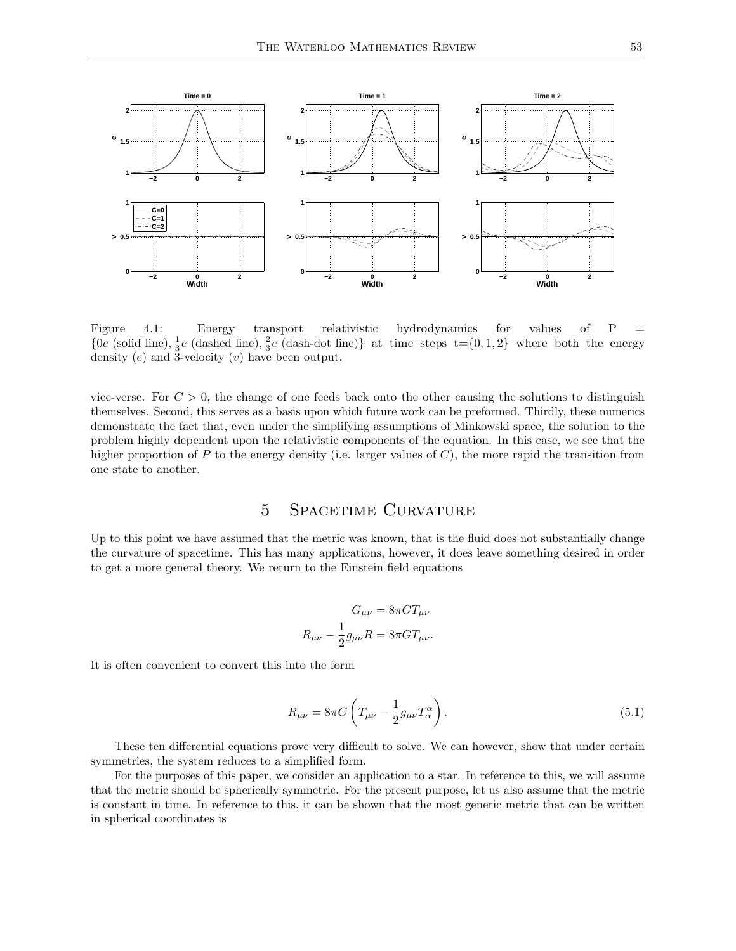

Figure 4.1: Energy transport relativistic hydrodynamics for values of P  $\{0e \text{ (solid line)}, \frac{1}{3}e \text{ (dashed line)}, \frac{2}{3}e \text{ (dash-dot line)}\}$  at time steps  $t = \{0, 1, 2\}$  where both the energy density  $(e)$  and 3-velocity  $(v)$  have been output.

vice-verse. For  $C > 0$ , the change of one feeds back onto the other causing the solutions to distinguish themselves. Second, this serves as a basis upon which future work can be preformed. Thirdly, these numerics demonstrate the fact that, even under the simplifying assumptions of Minkowski space, the solution to the problem highly dependent upon the relativistic components of the equation. In this case, we see that the higher proportion of  $P$  to the energy density (i.e. larger values of  $C$ ), the more rapid the transition from one state to another.

# 5 Spacetime Curvature

Up to this point we have assumed that the metric was known, that is the fluid does not substantially change the curvature of spacetime. This has many applications, however, it does leave something desired in order to get a more general theory. We return to the Einstein field equations

$$
G_{\mu\nu} = 8\pi G T_{\mu\nu}
$$

$$
R_{\mu\nu} - \frac{1}{2} g_{\mu\nu} R = 8\pi G T_{\mu\nu}.
$$

It is often convenient to convert this into the form

$$
R_{\mu\nu} = 8\pi G \left( T_{\mu\nu} - \frac{1}{2} g_{\mu\nu} T_{\alpha}^{\alpha} \right). \tag{5.1}
$$

These ten differential equations prove very difficult to solve. We can however, show that under certain symmetries, the system reduces to a simplified form.

For the purposes of this paper, we consider an application to a star. In reference to this, we will assume that the metric should be spherically symmetric. For the present purpose, let us also assume that the metric is constant in time. In reference to this, it can be shown that the most generic metric that can be written in spherical coordinates is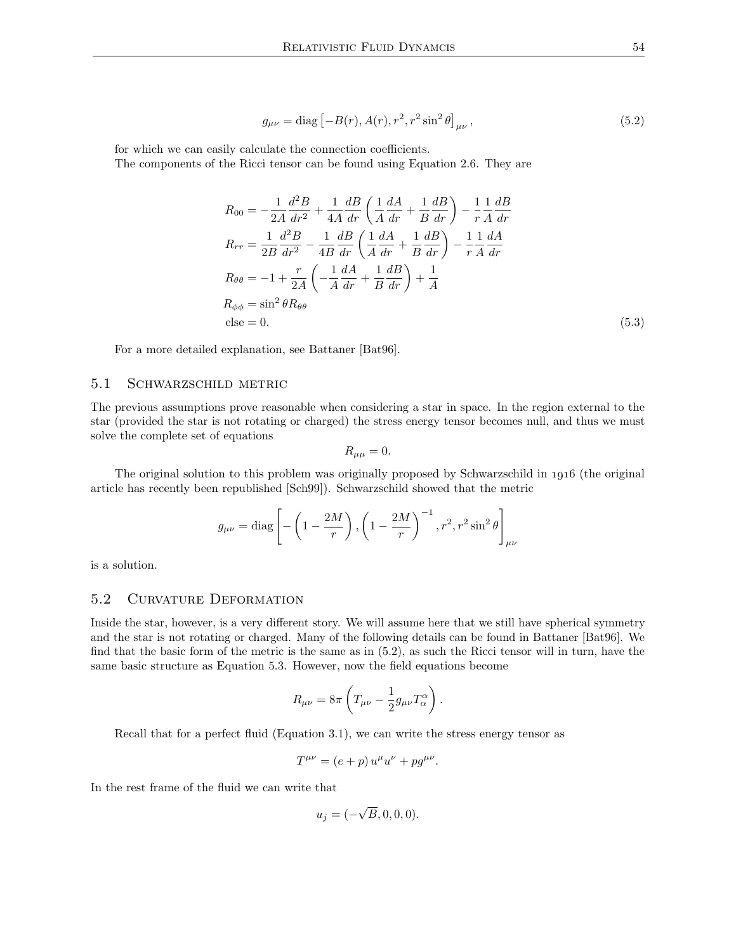$$
g_{\mu\nu} = \text{diag}\left[-B(r), A(r), r^2, r^2 \sin^2 \theta\right]_{\mu\nu},\tag{5.2}
$$

for which we can easily calculate the connection coefficients. The components of the Ricci tensor can be found using Equation 2.6. They are

$$
R_{00} = -\frac{1}{2A} \frac{d^2 B}{dr^2} + \frac{1}{4A} \frac{dB}{dr} \left( \frac{1}{A} \frac{dA}{dr} + \frac{1}{B} \frac{dB}{dr} \right) - \frac{1}{r} \frac{1}{A} \frac{dB}{dr}
$$
  
\n
$$
R_{rr} = \frac{1}{2B} \frac{d^2 B}{dr^2} - \frac{1}{4B} \frac{dB}{dr} \left( \frac{1}{A} \frac{dA}{dr} + \frac{1}{B} \frac{dB}{dr} \right) - \frac{1}{r} \frac{1}{A} \frac{dA}{dr}
$$
  
\n
$$
R_{\theta\theta} = -1 + \frac{r}{2A} \left( -\frac{1}{A} \frac{dA}{dr} + \frac{1}{B} \frac{dB}{dr} \right) + \frac{1}{A}
$$
  
\n
$$
R_{\phi\phi} = \sin^2 \theta R_{\theta\theta}
$$
  
\nelse = 0. (5.3)

For a more detailed explanation, see Battaner [Bat96].

#### 5.1 Schwarzschild metric

The previous assumptions prove reasonable when considering a star in space. In the region external to the star (provided the star is not rotating or charged) the stress energy tensor becomes null, and thus we must solve the complete set of equations

$$
R_{\mu\mu}=0.
$$

The original solution to this problem was originally proposed by Schwarzschild in  $1916$  (the original article has recently been republished [Sch99]). Schwarzschild showed that the metric

$$
g_{\mu\nu} = \text{diag}\left[-\left(1 - \frac{2M}{r}\right), \left(1 - \frac{2M}{r}\right)^{-1}, r^2, r^2 \sin^2 \theta\right]_{\mu\nu}
$$

is a solution.

### 5.2 Curvature Deformation

Inside the star, however, is a very different story. We will assume here that we still have spherical symmetry and the star is not rotating or charged. Many of the following details can be found in Battaner [Bat96]. We find that the basic form of the metric is the same as in (5.2), as such the Ricci tensor will in turn, have the same basic structure as Equation 5.3. However, now the field equations become

$$
R_{\mu\nu} = 8\pi \left( T_{\mu\nu} - \frac{1}{2} g_{\mu\nu} T_{\alpha}^{\alpha} \right).
$$

Recall that for a perfect fluid (Equation 3.1), we can write the stress energy tensor as

$$
T^{\mu\nu} = (e+p) u^{\mu} u^{\nu} + pg^{\mu\nu}.
$$

In the rest frame of the fluid we can write that

$$
u_j = (-\sqrt{B}, 0, 0, 0).
$$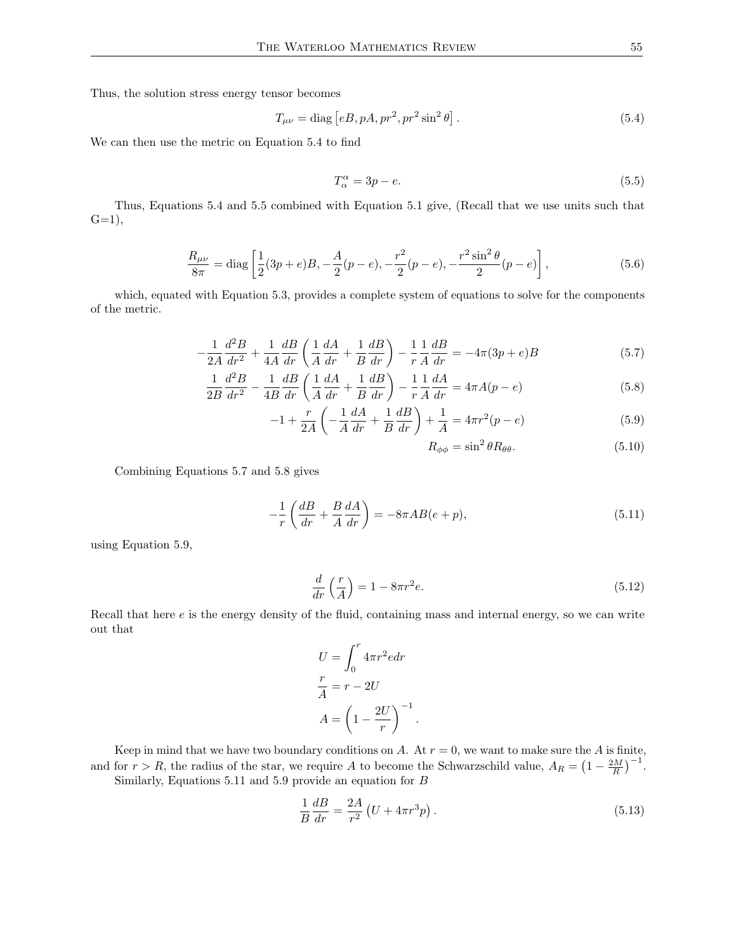Thus, the solution stress energy tensor becomes

$$
T_{\mu\nu} = \text{diag}\left[eB, pA, pr^2, pr^2 \sin^2 \theta\right].\tag{5.4}
$$

We can then use the metric on Equation 5.4 to find

$$
T_{\alpha}^{\alpha} = 3p - e. \tag{5.5}
$$

Thus, Equations 5.4 and 5.5 combined with Equation 5.1 give, (Recall that we use units such that  $G=1$ ),

$$
\frac{R_{\mu\nu}}{8\pi} = \text{diag}\left[\frac{1}{2}(3p+e)B, -\frac{A}{2}(p-e), -\frac{r^2}{2}(p-e), -\frac{r^2\sin^2\theta}{2}(p-e)\right],\tag{5.6}
$$

which, equated with Equation 5.3, provides a complete system of equations to solve for the components of the metric.

$$
-\frac{1}{2A}\frac{d^2B}{dr^2} + \frac{1}{4A}\frac{dB}{dr}\left(\frac{1}{A}\frac{dA}{dr} + \frac{1}{B}\frac{dB}{dr}\right) - \frac{1}{r}\frac{1}{A}\frac{dB}{dr} = -4\pi(3p+e)B\tag{5.7}
$$

$$
\frac{1}{2B}\frac{d^2B}{dr^2} - \frac{1}{4B}\frac{dB}{dr}\left(\frac{1}{A}\frac{dA}{dr} + \frac{1}{B}\frac{dB}{dr}\right) - \frac{1}{r}\frac{1}{A}\frac{dA}{dr} = 4\pi A(p - e)
$$
(5.8)

$$
-1 + \frac{r}{2A} \left( -\frac{1}{A} \frac{dA}{dr} + \frac{1}{B} \frac{dB}{dr} \right) + \frac{1}{A} = 4\pi r^2 (p - e)
$$
 (5.9)

$$
R_{\phi\phi} = \sin^2\theta R_{\theta\theta}.\tag{5.10}
$$

Combining Equations 5.7 and 5.8 gives

$$
-\frac{1}{r}\left(\frac{dB}{dr} + \frac{B}{A}\frac{dA}{dr}\right) = -8\pi AB(e+p),\tag{5.11}
$$

using Equation 5.9,

$$
\frac{d}{dr}\left(\frac{r}{A}\right) = 1 - 8\pi r^2 e. \tag{5.12}
$$

Recall that here  $e$  is the energy density of the fluid, containing mass and internal energy, so we can write out that

$$
U = \int_0^r 4\pi r^2 e dr
$$

$$
\frac{r}{A} = r - 2U
$$

$$
A = \left(1 - \frac{2U}{r}\right)^{-1}.
$$

Keep in mind that we have two boundary conditions on A. At  $r = 0$ , we want to make sure the A is finite, and for  $r > R$ , the radius of the star, we require A to become the Schwarzschild value,  $A_R = \left(1 - \frac{2M}{R}\right)^{-1}$ . Similarly, Equations 5.11 and 5.9 provide an equation for B

$$
\frac{1}{B}\frac{dB}{dr} = \frac{2A}{r^2} \left( U + 4\pi r^3 p \right). \tag{5.13}
$$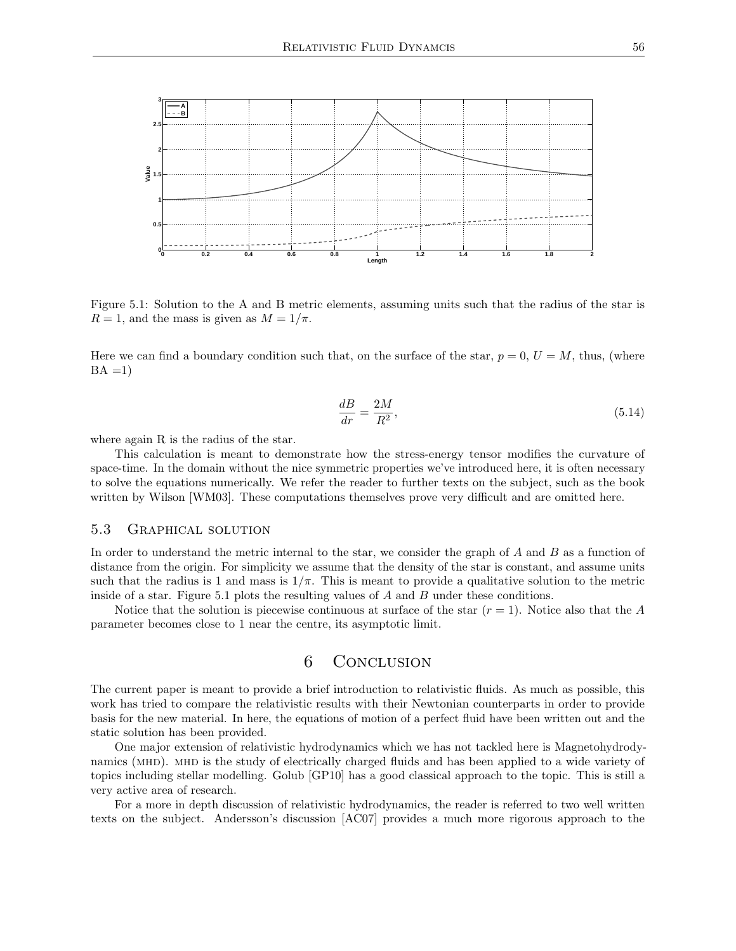

Figure 5.1: Solution to the A and B metric elements, assuming units such that the radius of the star is  $R = 1$ , and the mass is given as  $M = 1/\pi$ .

Here we can find a boundary condition such that, on the surface of the star,  $p = 0$ ,  $U = M$ , thus, (where  $BA =1$ 

$$
\frac{dB}{dr} = \frac{2M}{R^2},\tag{5.14}
$$

where again R is the radius of the star.

This calculation is meant to demonstrate how the stress-energy tensor modifies the curvature of space-time. In the domain without the nice symmetric properties we've introduced here, it is often necessary to solve the equations numerically. We refer the reader to further texts on the subject, such as the book written by Wilson [WM03]. These computations themselves prove very difficult and are omitted here.

### 5.3 Graphical solution

In order to understand the metric internal to the star, we consider the graph of A and B as a function of distance from the origin. For simplicity we assume that the density of the star is constant, and assume units such that the radius is 1 and mass is  $1/\pi$ . This is meant to provide a qualitative solution to the metric inside of a star. Figure 5.1 plots the resulting values of A and B under these conditions.

Notice that the solution is piecewise continuous at surface of the star  $(r = 1)$ . Notice also that the A parameter becomes close to 1 near the centre, its asymptotic limit.

# 6 Conclusion

The current paper is meant to provide a brief introduction to relativistic fluids. As much as possible, this work has tried to compare the relativistic results with their Newtonian counterparts in order to provide basis for the new material. In here, the equations of motion of a perfect fluid have been written out and the static solution has been provided.

One major extension of relativistic hydrodynamics which we has not tackled here is Magnetohydrodynamics (MHD). MHD is the study of electrically charged fluids and has been applied to a wide variety of topics including stellar modelling. Golub [GP10] has a good classical approach to the topic. This is still a very active area of research.

For a more in depth discussion of relativistic hydrodynamics, the reader is referred to two well written texts on the subject. Andersson's discussion [AC07] provides a much more rigorous approach to the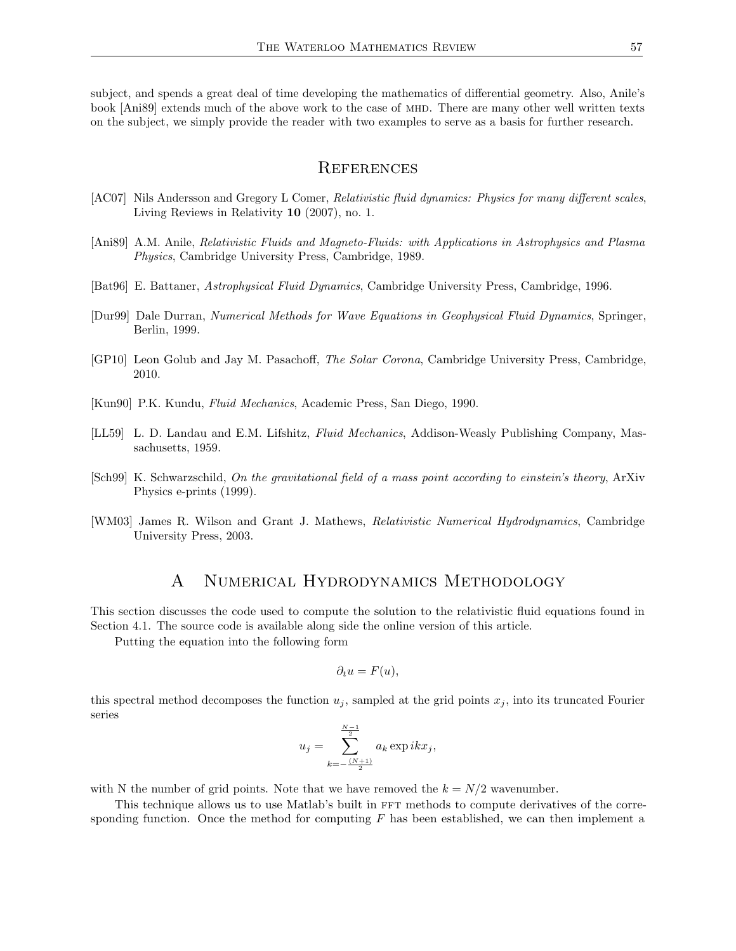subject, and spends a great deal of time developing the mathematics of differential geometry. Also, Anile's book [Ani89] extends much of the above work to the case of MHD. There are many other well written texts on the subject, we simply provide the reader with two examples to serve as a basis for further research.

# **REFERENCES**

- [AC07] Nils Andersson and Gregory L Comer, Relativistic fluid dynamics: Physics for many different scales, Living Reviews in Relativity 10 (2007), no. 1.
- [Ani89] A.M. Anile, Relativistic Fluids and Magneto-Fluids: with Applications in Astrophysics and Plasma Physics, Cambridge University Press, Cambridge, 1989.
- [Bat96] E. Battaner, Astrophysical Fluid Dynamics, Cambridge University Press, Cambridge, 1996.
- [Dur99] Dale Durran, Numerical Methods for Wave Equations in Geophysical Fluid Dynamics, Springer, Berlin, 1999.
- [GP10] Leon Golub and Jay M. Pasachoff, The Solar Corona, Cambridge University Press, Cambridge, 2010.
- [Kun90] P.K. Kundu, Fluid Mechanics, Academic Press, San Diego, 1990.
- [LL59] L. D. Landau and E.M. Lifshitz, Fluid Mechanics, Addison-Weasly Publishing Company, Massachusetts, 1959.
- [Sch99] K. Schwarzschild, On the gravitational field of a mass point according to einstein's theory, ArXiv Physics e-prints (1999).
- [WM03] James R. Wilson and Grant J. Mathews, Relativistic Numerical Hydrodynamics, Cambridge University Press, 2003.

# A Numerical Hydrodynamics Methodology

This section discusses the code used to compute the solution to the relativistic fluid equations found in Section 4.1. The source code is available along side the online version of this article.

Putting the equation into the following form

$$
\partial_t u = F(u),
$$

this spectral method decomposes the function  $u_j$ , sampled at the grid points  $x_j$ , into its truncated Fourier series

$$
u_j = \sum_{k=-\frac{(N+1)}{2}}^{\frac{N-1}{2}} a_k \exp ikx_j,
$$

with N the number of grid points. Note that we have removed the  $k = N/2$  wavenumber.

This technique allows us to use Matlab's built in FFT methods to compute derivatives of the corresponding function. Once the method for computing  $F$  has been established, we can then implement a